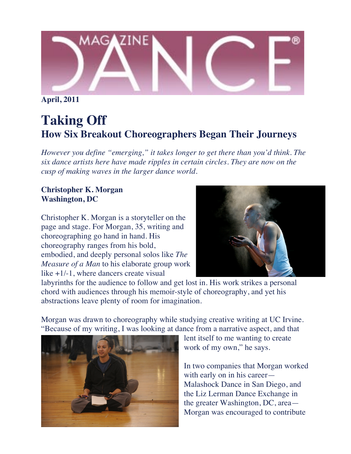

**April, 2011**

## **Taking Off How Six Breakout Choreographers Began Their Journeys**

*However you define "emerging," it takes longer to get there than you'd think. The six dance artists here have made ripples in certain circles. They are now on the cusp of making waves in the larger dance world.*

## **Christopher K. Morgan Washington, DC**

Christopher K. Morgan is a storyteller on the page and stage. For Morgan, 35, writing and choreographing go hand in hand. His choreography ranges from his bold, embodied, and deeply personal solos like *The Measure of a Man* to his elaborate group work like +1/-1, where dancers create visual



labyrinths for the audience to follow and get lost in. His work strikes a personal chord with audiences through his memoir-style of choreography, and yet his abstractions leave plenty of room for imagination.

Morgan was drawn to choreography while studying creative writing at UC Irvine. "Because of my writing, I was looking at dance from a narrative aspect, and that



lent itself to me wanting to create work of my own," he says.

In two companies that Morgan worked with early on in his career— Malashock Dance in San Diego, and the Liz Lerman Dance Exchange in the greater Washington, DC, area— Morgan was encouraged to contribute